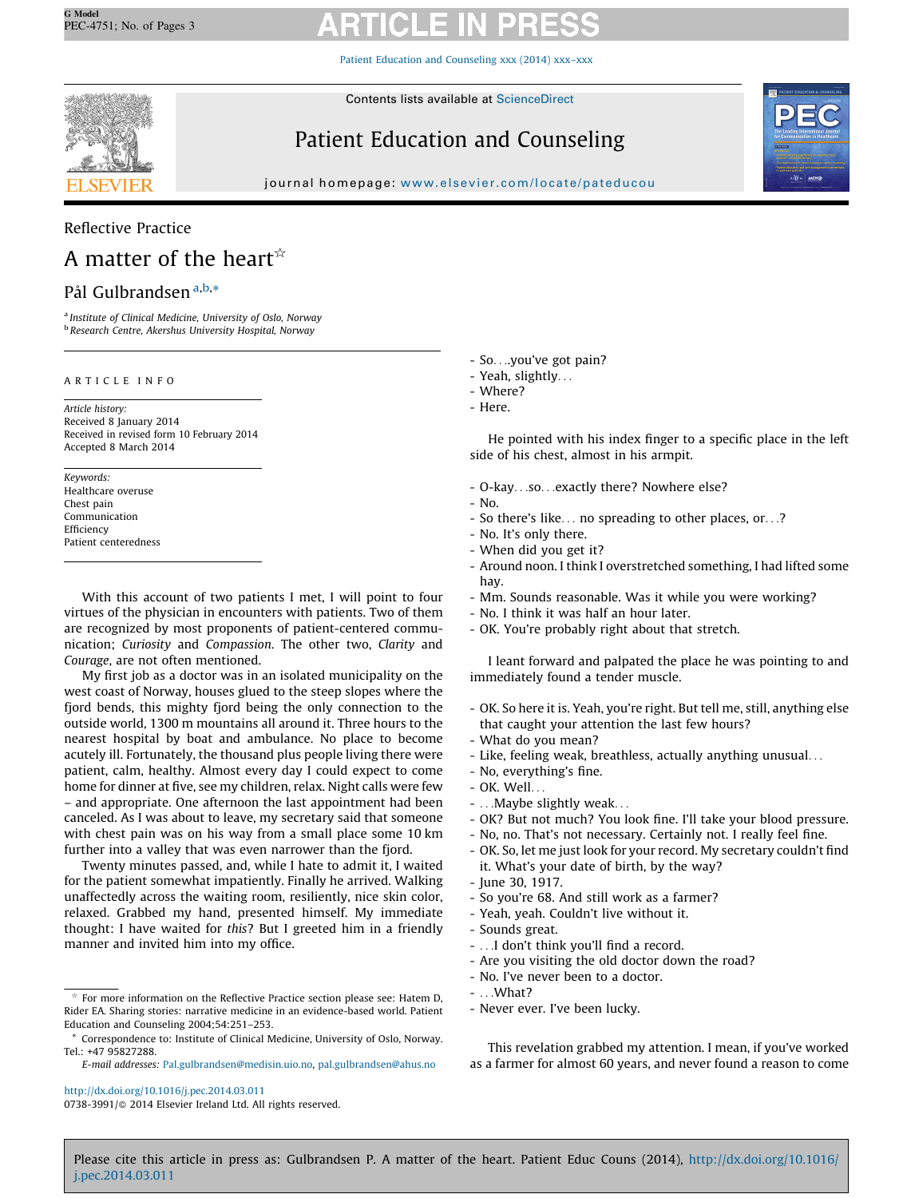Patient Education and [Counseling](http://dx.doi.org/10.1016/j.pec.2014.03.011) xxx (2014) xxx–xxx



Contents lists available at [ScienceDirect](http://www.sciencedirect.com/science/journal/07383991)

# Patient Education and Counseling



journal homepage: <www.elsevier.com/locate/pateducou>

## Reflective Practice

# A matter of the heart<sup> $\hat{\alpha}$ </sup>

## Pål Gulbrandsen <sup>a,b,</sup>\*

<sup>a</sup> Institute of Clinical Medicine, University of Oslo, Norway <sup>b</sup> Research Centre, Akershus University Hospital, Norway

### A R T I C L E I N F O

Article history: Received 8 January 2014 Received in revised form 10 February 2014 Accepted 8 March 2014

Keywords: Healthcare overuse Chest pain Communication Efficiency Patient centeredness

With this account of two patients I met, I will point to four virtues of the physician in encounters with patients. Two of them are recognized by most proponents of patient-centered communication; Curiosity and Compassion. The other two, Clarity and Courage, are not often mentioned.

My first job as a doctor was in an isolated municipality on the west coast of Norway, houses glued to the steep slopes where the fjord bends, this mighty fjord being the only connection to the outside world, 1300 m mountains all around it. Three hours to the nearest hospital by boat and ambulance. No place to become acutely ill. Fortunately, the thousand plus people living there were patient, calm, healthy. Almost every day I could expect to come home for dinner at five, see my children, relax. Night calls were few – and appropriate. One afternoon the last appointment had been canceled. As I was about to leave, my secretary said that someone with chest pain was on his way from a small place some 10 km further into a valley that was even narrower than the fjord.

Twenty minutes passed, and, while I hate to admit it, I waited for the patient somewhat impatiently. Finally he arrived. Walking unaffectedly across the waiting room, resiliently, nice skin color, relaxed. Grabbed my hand, presented himself. My immediate thought: I have waited for this? But I greeted him in a friendly manner and invited him into my office.

<http://dx.doi.org/10.1016/j.pec.2014.03.011> 0738-3991/© 2014 Elsevier Ireland Ltd. All rights reserved.

- So. . ..you've got pain?
- Yeah, slightly. . .
- Where?
- Here.

He pointed with his index finger to a specific place in the left side of his chest, almost in his armpit.

- O-kay. . .so. . .exactly there? Nowhere else?
- No.
- So there's like. . . no spreading to other places, or. . .?
- No. It's only there.
- When did you get it?
- Around noon. I think I overstretched something, I had lifted some hay.
- Mm. Sounds reasonable. Was it while you were working?
- No. I think it was half an hour later.
- OK. You're probably right about that stretch.

I leant forward and palpated the place he was pointing to and immediately found a tender muscle.

- OK. So here it is. Yeah, you're right. But tell me, still, anything else that caught your attention the last few hours?
- What do you mean?
- Like, feeling weak, breathless, actually anything unusual. . .
- No, everything's fine.
- OK. Well. . .
- . . .Maybe slightly weak. . .
- OK? But not much? You look fine. I'll take your blood pressure.
- No, no. That's not necessary. Certainly not. I really feel fine.
- OK. So, let me just look for your record. My secretary couldn't find it. What's your date of birth, by the way?
- June 30, 1917.
- So you're 68. And still work as a farmer?
- Yeah, yeah. Couldn't live without it.
- Sounds great.
- . . .I don't think you'll find a record.
- Are you visiting the old doctor down the road?
- No. I've never been to a doctor.
- . . .What?
- Never ever. I've been lucky.

This revelation grabbed my attention. I mean, if you've worked as a farmer for almost 60 years, and never found a reason to come

Please cite this article in press as: Gulbrandsen P. A matter of the heart. Patient Educ Couns (2014), [http://dx.doi.org/10.1016/](http://dx.doi.org/10.1016/j.pec.2014.03.011) [j.pec.2014.03.011](http://dx.doi.org/10.1016/j.pec.2014.03.011)

For more information on the Reflective Practice section please see: Hatem D, Rider EA. Sharing stories: narrative medicine in an evidence-based world. Patient Education and Counseling 2004;54:251–253.

Correspondence to: Institute of Clinical Medicine, University of Oslo, Norway.  $Tel + 4795827288$ 

E-mail addresses: [Pal.gulbrandsen@medisin.uio.no](mailto:Pal.gulbrandsen@medisin.uio.no), [pal.gulbrandsen@ahus.no](mailto:pal.gulbrandsen@ahus.no)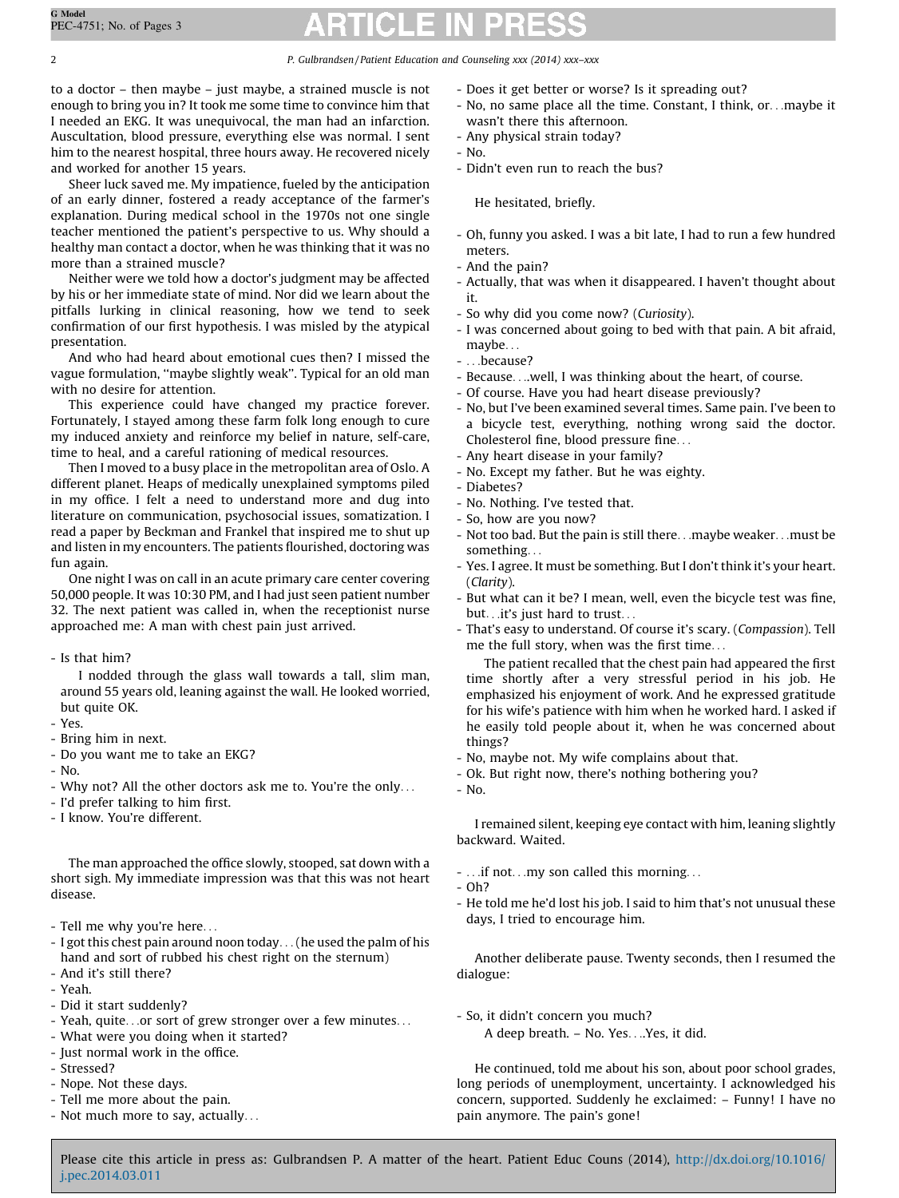2 **P. Gulbrandsen / Patient Education and Counseling xxx (2014) xxx–xxx** 

to a doctor – then maybe – just maybe, a strained muscle is not enough to bring you in? It took me some time to convince him that I needed an EKG. It was unequivocal, the man had an infarction. Auscultation, blood pressure, everything else was normal. I sent him to the nearest hospital, three hours away. He recovered nicely and worked for another 15 years.

Sheer luck saved me. My impatience, fueled by the anticipation of an early dinner, fostered a ready acceptance of the farmer's explanation. During medical school in the 1970s not one single teacher mentioned the patient's perspective to us. Why should a healthy man contact a doctor, when he was thinking that it was no more than a strained muscle?

Neither were we told how a doctor's judgment may be affected by his or her immediate state of mind. Nor did we learn about the pitfalls lurking in clinical reasoning, how we tend to seek confirmation of our first hypothesis. I was misled by the atypical presentation.

And who had heard about emotional cues then? I missed the vague formulation, ''maybe slightly weak''. Typical for an old man with no desire for attention.

This experience could have changed my practice forever. Fortunately, I stayed among these farm folk long enough to cure my induced anxiety and reinforce my belief in nature, self-care, time to heal, and a careful rationing of medical resources.

Then I moved to a busy place in the metropolitan area of Oslo. A different planet. Heaps of medically unexplained symptoms piled in my office. I felt a need to understand more and dug into literature on communication, psychosocial issues, somatization. I read a paper by Beckman and Frankel that inspired me to shut up and listen in my encounters. The patients flourished, doctoring was fun again.

One night I was on call in an acute primary care center covering 50,000 people. It was 10:30 PM, and I had just seen patient number 32. The next patient was called in, when the receptionist nurse approached me: A man with chest pain just arrived.

- Is that him?

I nodded through the glass wall towards a tall, slim man, around 55 years old, leaning against the wall. He looked worried, but quite OK.

- Yes.
- Bring him in next.
- Do you want me to take an EKG?
- No.
- Why not? All the other doctors ask me to. You're the only. . .
- I'd prefer talking to him first.
- I know. You're different.

The man approached the office slowly, stooped, sat down with a short sigh. My immediate impression was that this was not heart disease.

- Tell me why you're here. . .
- I got this chest pain around noon today. . . (he used the palm of his hand and sort of rubbed his chest right on the sternum) - And it's still there?
- Yeah.
- Did it start suddenly?
- Yeah, quite. . .or sort of grew stronger over a few minutes. . .
- What were you doing when it started?
- Just normal work in the office.
- Stressed?
- Nope. Not these days.
- Tell me more about the pain.
- Not much more to say, actually. . .
- Does it get better or worse? Is it spreading out?
- No, no same place all the time. Constant, I think, or. . .maybe it wasn't there this afternoon.
- Any physical strain today?
- $-$  No.
- Didn't even run to reach the bus?

He hesitated, briefly.

- Oh, funny you asked. I was a bit late, I had to run a few hundred meters.
- And the pain?
- Actually, that was when it disappeared. I haven't thought about it.
- So why did you come now? (Curiosity).
- I was concerned about going to bed with that pain. A bit afraid, may he
- . . .because?
- Because. . ..well, I was thinking about the heart, of course.
- Of course. Have you had heart disease previously?
- No, but I've been examined several times. Same pain. I've been to a bicycle test, everything, nothing wrong said the doctor. Cholesterol fine, blood pressure fine. . .
- Any heart disease in your family?
- No. Except my father. But he was eighty.
- Diabetes?
- No. Nothing. I've tested that.
- So, how are you now?
- Not too bad. But the pain is still there. . .maybe weaker. . .must be something. . .
- Yes. I agree. It must be something. But I don't think it's your heart. (Clarity).
- But what can it be? I mean, well, even the bicycle test was fine, but...it's just hard to trust...
- That's easy to understand. Of course it's scary. (Compassion). Tell me the full story, when was the first time. . .

The patient recalled that the chest pain had appeared the first time shortly after a very stressful period in his job. He emphasized his enjoyment of work. And he expressed gratitude for his wife's patience with him when he worked hard. I asked if he easily told people about it, when he was concerned about things?

- No, maybe not. My wife complains about that.
- Ok. But right now, there's nothing bothering you?
- No.

I remained silent, keeping eye contact with him, leaning slightly backward. Waited.

- . . .if not. . .my son called this morning. . .
- Oh?
- He told me he'd lost his job. I said to him that's not unusual these days, I tried to encourage him.

Another deliberate pause. Twenty seconds, then I resumed the dialogue:

- So, it didn't concern you much?
	- A deep breath. No. Yes. . ..Yes, it did.

He continued, told me about his son, about poor school grades, long periods of unemployment, uncertainty. I acknowledged his concern, supported. Suddenly he exclaimed: – Funny! I have no pain anymore. The pain's gone!

Please cite this article in press as: Gulbrandsen P. A matter of the heart. Patient Educ Couns (2014), [http://dx.doi.org/10.1016/](http://dx.doi.org/10.1016/j.pec.2014.03.011) [j.pec.2014.03.011](http://dx.doi.org/10.1016/j.pec.2014.03.011)